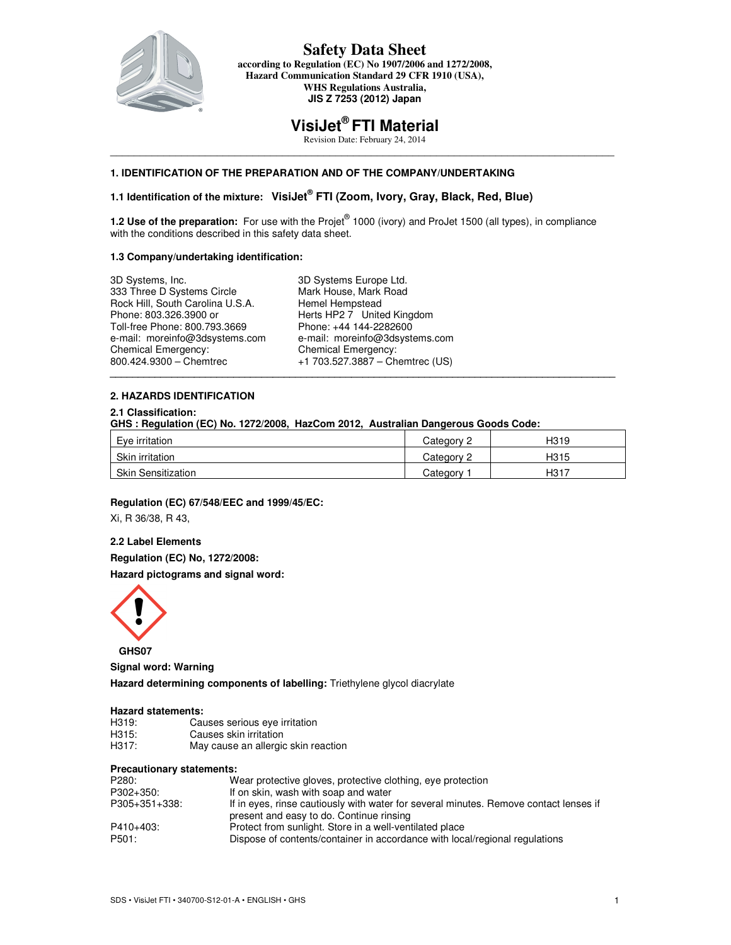

## **Safety Data Sheet according to Regulation (EC) No 1907/2006 and 1272/2008, Hazard Communication Standard 29 CFR 1910 (USA), WHS Regulations Australia, JIS Z 7253 (2012) Japan**

# **VisiJet® FTI Material**

Revision Date: February 24, 2014 \_\_\_\_\_\_\_\_\_\_\_\_\_\_\_\_\_\_\_\_\_\_\_\_\_\_\_\_\_\_\_\_\_\_\_\_\_\_\_\_\_\_\_\_\_\_\_\_\_\_\_\_\_\_\_\_\_\_\_\_\_\_\_\_\_\_\_\_\_\_\_\_\_\_\_\_\_\_\_\_\_\_\_\_\_

# **1. IDENTIFICATION OF THE PREPARATION AND OF THE COMPANY/UNDERTAKING**

# **1.1 Identification of the mixture: VisiJet® FTI (Zoom, Ivory, Gray, Black, Red, Blue)**

**1.2 Use of the preparation:** For use with the Projet<sup>®</sup> 1000 (ivory) and ProJet 1500 (all types), in compliance with the conditions described in this safety data sheet.

### **1.3 Company/undertaking identification:**

| 3D Systems, Inc.                 | 3D Systems Europe Ltd.          |
|----------------------------------|---------------------------------|
| 333 Three D Systems Circle       | Mark House, Mark Road           |
| Rock Hill, South Carolina U.S.A. | Hemel Hempstead                 |
| Phone: 803.326.3900 or           | Herts HP2 7 United Kingdom      |
| Toll-free Phone: 800.793.3669    | Phone: +44 144-2282600          |
| e-mail: moreinfo@3dsystems.com   | e-mail: moreinfo@3dsystems.com  |
| Chemical Emergency:              | <b>Chemical Emergency:</b>      |
| 800.424.9300 - Chemtrec          | +1 703.527.3887 - Chemtrec (US) |

### **2. HAZARDS IDENTIFICATION**

## **2.1 Classification:**

**GHS : Regulation (EC) No. 1272/2008, HazCom 2012, Australian Dangerous Goods Code:** 

| Eye irritation            | Category 2 | H <sub>319</sub> |
|---------------------------|------------|------------------|
| Skin irritation           | Category 2 | H <sub>315</sub> |
| <b>Skin Sensitization</b> | Category   | H <sub>317</sub> |

**\_\_\_\_\_\_\_\_\_\_\_\_\_\_\_\_\_\_\_\_\_\_\_\_\_\_\_\_\_\_\_\_\_\_\_\_\_\_\_\_\_\_\_\_\_\_\_\_\_\_\_\_\_\_\_\_\_\_\_\_\_\_\_\_\_\_\_\_\_\_\_\_\_\_\_\_\_\_\_\_\_\_\_\_\_\_\_\_\_\_** 

#### **Regulation (EC) 67/548/EEC and 1999/45/EC:**

Xi, R 36/38, R 43,

## **2.2 Label Elements**

**Regulation (EC) No, 1272/2008:** 

**Hazard pictograms and signal word:** 



 **GHS07** 

**Signal word: Warning** 

**Hazard determining components of labelling:** Triethylene glycol diacrylate

## **Hazard statements:**

| H319: | Causes serious eye irritation       |
|-------|-------------------------------------|
| H315: | Causes skin irritation              |
| H317: | May cause an allergic skin reaction |

#### **Precautionary statements:**

| P280:         | Wear protective gloves, protective clothing, eye protection                           |
|---------------|---------------------------------------------------------------------------------------|
| P302+350:     | If on skin, wash with soap and water                                                  |
| P305+351+338: | If in eyes, rinse cautiously with water for several minutes. Remove contact lenses if |
|               | present and easy to do. Continue rinsing                                              |
| P410+403:     | Protect from sunlight. Store in a well-ventilated place                               |
| P501:         | Dispose of contents/container in accordance with local/regional regulations           |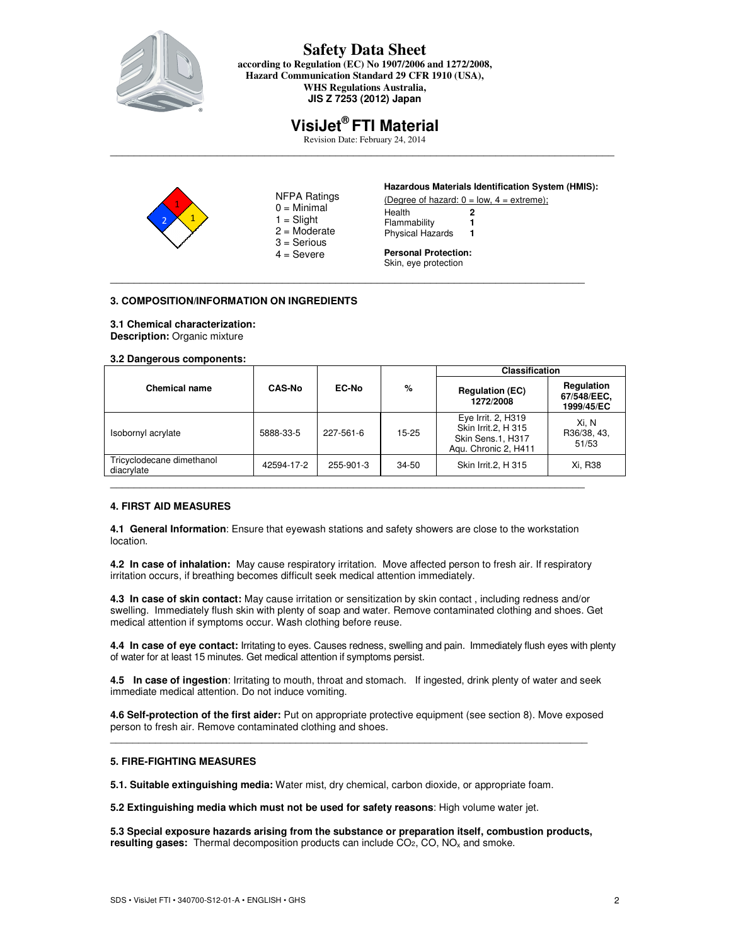

**according to Regulation (EC) No 1907/2006 and 1272/2008, Hazard Communication Standard 29 CFR 1910 (USA), WHS Regulations Australia, JIS Z 7253 (2012) Japan** 

# **VisiJet® FTI Material**

Revision Date: February 24, 2014 \_\_\_\_\_\_\_\_\_\_\_\_\_\_\_\_\_\_\_\_\_\_\_\_\_\_\_\_\_\_\_\_\_\_\_\_\_\_\_\_\_\_\_\_\_\_\_\_\_\_\_\_\_\_\_\_\_\_\_\_\_\_\_\_\_\_\_\_\_\_\_\_\_\_\_\_\_\_\_\_\_\_\_\_\_

\_\_\_\_\_\_\_\_\_\_\_\_\_\_\_\_\_\_\_\_\_\_\_\_\_\_\_\_\_\_\_\_\_\_\_\_\_\_\_\_\_\_\_\_\_\_\_\_\_\_\_\_\_\_\_\_\_\_\_\_\_\_\_\_\_\_\_\_\_\_\_\_\_\_\_\_\_\_\_\_



- NFPA Ratings  $0 =$  Minimal  $1 =$ Slight  $2 =$ Moderate
- 3 = Serious  $4 =$  Severe

### **Hazardous Materials Identification System (HMIS):**

(Degree of hazard:  $0 = low$ ,  $4 = extreme$ ); Health **2**

Flammability **1**  Physical Hazards **1**

**Personal Protection:**  Skin, eye protection

# **3. COMPOSITION/INFORMATION ON INGREDIENTS**

# **3.1 Chemical characterization:**

**Description:** Organic mixture

#### **3.2 Dangerous components:**

| Chemical name                           | <b>CAS-No</b> | <b>EC-No</b> | %         | <b>Classification</b>                                                                  |                                         |
|-----------------------------------------|---------------|--------------|-----------|----------------------------------------------------------------------------------------|-----------------------------------------|
|                                         |               |              |           | <b>Regulation (EC)</b><br>1272/2008                                                    | Regulation<br>67/548/EEC,<br>1999/45/EC |
| Isobornyl acrylate                      | 5888-33-5     | 227-561-6    | $15 - 25$ | Eye Irrit. 2, H319<br>Skin Irrit.2, H 315<br>Skin Sens.1, H317<br>Agu. Chronic 2, H411 | Xi. N<br>R36/38, 43,<br>51/53           |
| Tricyclodecane dimethanol<br>diacrylate | 42594-17-2    | 255-901-3    | 34-50     | Skin Irrit.2, H 315                                                                    | Xi, R38                                 |
|                                         |               |              |           |                                                                                        |                                         |

# **4. FIRST AID MEASURES**

**4.1 General Information**: Ensure that eyewash stations and safety showers are close to the workstation location.

**4.2 In case of inhalation:** May cause respiratory irritation. Move affected person to fresh air. If respiratory irritation occurs, if breathing becomes difficult seek medical attention immediately.

**4.3 In case of skin contact:** May cause irritation or sensitization by skin contact , including redness and/or swelling. Immediately flush skin with plenty of soap and water. Remove contaminated clothing and shoes. Get medical attention if symptoms occur. Wash clothing before reuse.

**4.4 In case of eye contact:** Irritating to eyes. Causes redness, swelling and pain. Immediately flush eyes with plenty of water for at least 15 minutes. Get medical attention if symptoms persist.

**4.5 In case of ingestion**: Irritating to mouth, throat and stomach. If ingested, drink plenty of water and seek immediate medical attention. Do not induce vomiting.

**4.6 Self-protection of the first aider:** Put on appropriate protective equipment (see section 8). Move exposed person to fresh air. Remove contaminated clothing and shoes.

 $\overline{a}$  , and the contribution of the contribution of the contribution of the contribution of the contribution of  $\overline{a}$ 

# **5. FIRE-FIGHTING MEASURES**

**5.1. Suitable extinguishing media:** Water mist, dry chemical, carbon dioxide, or appropriate foam.

**5.2 Extinguishing media which must not be used for safety reasons**: High volume water jet.

**5.3 Special exposure hazards arising from the substance or preparation itself, combustion products, resulting gases:** Thermal decomposition products can include CO<sub>2</sub>, CO, NO<sub>x</sub> and smoke.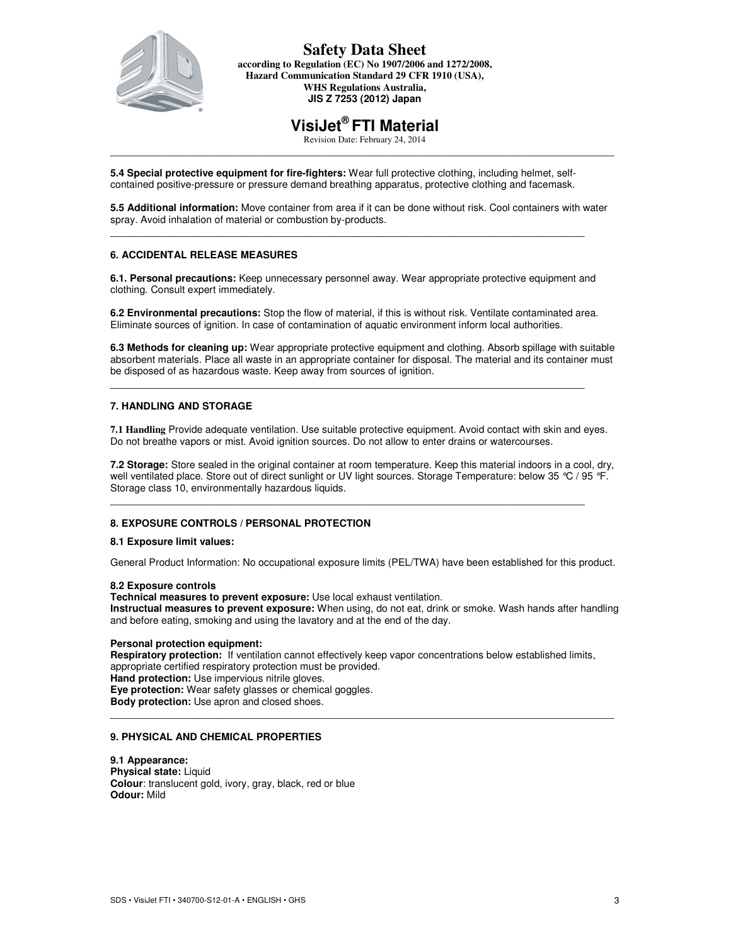

#### **Safety Data Sheet according to Regulation (EC) No 1907/2006 and 1272/2008, Hazard Communication Standard 29 CFR 1910 (USA), WHS Regulations Australia, JIS Z 7253 (2012) Japan**

# **VisiJet® FTI Material**

Revision Date: February 24, 2014 \_\_\_\_\_\_\_\_\_\_\_\_\_\_\_\_\_\_\_\_\_\_\_\_\_\_\_\_\_\_\_\_\_\_\_\_\_\_\_\_\_\_\_\_\_\_\_\_\_\_\_\_\_\_\_\_\_\_\_\_\_\_\_\_\_\_\_\_\_\_\_\_\_\_\_\_\_\_\_\_\_\_\_\_\_

**5.4 Special protective equipment for fire-fighters:** Wear full protective clothing, including helmet, selfcontained positive-pressure or pressure demand breathing apparatus, protective clothing and facemask.

**5.5 Additional information:** Move container from area if it can be done without risk. Cool containers with water spray. Avoid inhalation of material or combustion by-products.

\_\_\_\_\_\_\_\_\_\_\_\_\_\_\_\_\_\_\_\_\_\_\_\_\_\_\_\_\_\_\_\_\_\_\_\_\_\_\_\_\_\_\_\_\_\_\_\_\_\_\_\_\_\_\_\_\_\_\_\_\_\_\_\_\_\_\_\_\_\_\_\_\_\_\_\_\_\_\_\_

### **6. ACCIDENTAL RELEASE MEASURES**

**6.1. Personal precautions:** Keep unnecessary personnel away. Wear appropriate protective equipment and clothing. Consult expert immediately.

**6.2 Environmental precautions:** Stop the flow of material, if this is without risk. Ventilate contaminated area. Eliminate sources of ignition. In case of contamination of aquatic environment inform local authorities.

\_\_\_\_\_\_\_\_\_\_\_\_\_\_\_\_\_\_\_\_\_\_\_\_\_\_\_\_\_\_\_\_\_\_\_\_\_\_\_\_\_\_\_\_\_\_\_\_\_\_\_\_\_\_\_\_\_\_\_\_\_\_\_\_\_\_\_\_\_\_\_\_\_\_\_\_\_\_\_\_

**6.3 Methods for cleaning up:** Wear appropriate protective equipment and clothing. Absorb spillage with suitable absorbent materials. Place all waste in an appropriate container for disposal. The material and its container must be disposed of as hazardous waste. Keep away from sources of ignition.

### **7. HANDLING AND STORAGE**

**7.1 Handling** Provide adequate ventilation. Use suitable protective equipment. Avoid contact with skin and eyes. Do not breathe vapors or mist. Avoid ignition sources. Do not allow to enter drains or watercourses.

**7.2 Storage:** Store sealed in the original container at room temperature. Keep this material indoors in a cool, dry, well ventilated place. Store out of direct sunlight or UV light sources. Storage Temperature: below 35 °C / 95 °F. Storage class 10, environmentally hazardous liquids.

\_\_\_\_\_\_\_\_\_\_\_\_\_\_\_\_\_\_\_\_\_\_\_\_\_\_\_\_\_\_\_\_\_\_\_\_\_\_\_\_\_\_\_\_\_\_\_\_\_\_\_\_\_\_\_\_\_\_\_\_\_\_\_\_\_\_\_\_\_\_\_\_\_\_\_\_\_\_\_\_

#### **8. EXPOSURE CONTROLS / PERSONAL PROTECTION**

#### **8.1 Exposure limit values:**

General Product Information: No occupational exposure limits (PEL/TWA) have been established for this product.

#### **8.2 Exposure controls**

**Technical measures to prevent exposure:** Use local exhaust ventilation.

**Instructual measures to prevent exposure:** When using, do not eat, drink or smoke. Wash hands after handling and before eating, smoking and using the lavatory and at the end of the day.

### **Personal protection equipment:**

**Respiratory protection:** If ventilation cannot effectively keep vapor concentrations below established limits, appropriate certified respiratory protection must be provided. **Hand protection:** Use impervious nitrile gloves. **Eye protection:** Wear safety glasses or chemical goggles. **Body protection:** Use apron and closed shoes.

\_\_\_\_\_\_\_\_\_\_\_\_\_\_\_\_\_\_\_\_\_\_\_\_\_\_\_\_\_\_\_\_\_\_\_\_\_\_\_\_\_\_\_\_\_\_\_\_\_\_\_\_\_\_\_\_\_\_\_\_\_\_\_\_\_\_\_\_\_\_\_\_\_\_\_\_\_\_\_\_\_\_\_\_\_

#### **9. PHYSICAL AND CHEMICAL PROPERTIES**

**9.1 Appearance: Physical state:** Liquid **Colour**: translucent gold, ivory, gray, black, red or blue **Odour:** Mild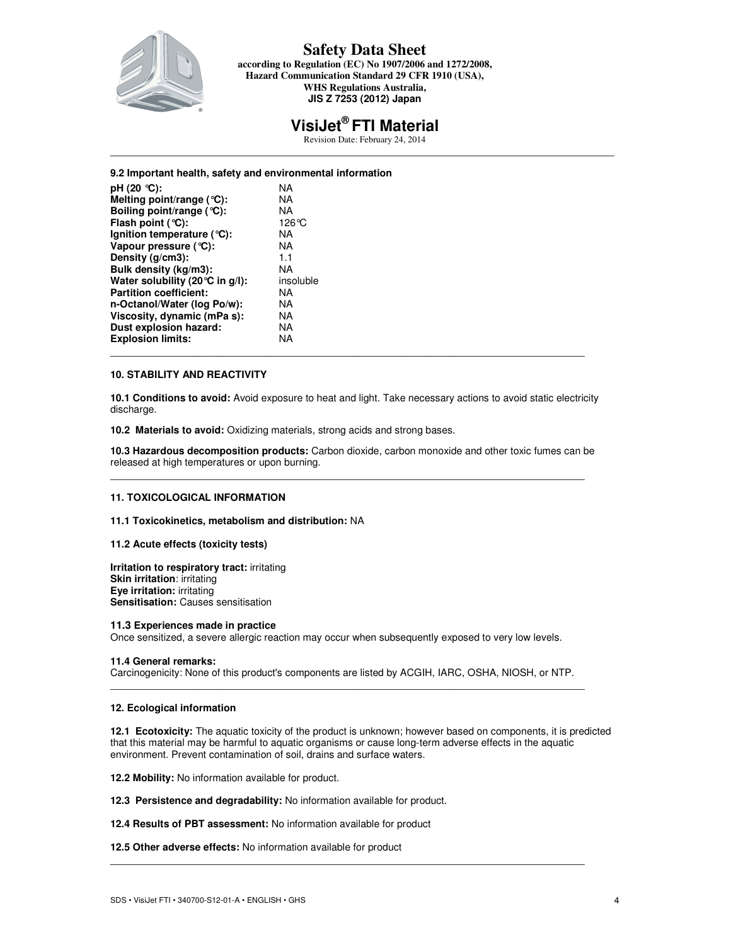

**according to Regulation (EC) No 1907/2006 and 1272/2008, Hazard Communication Standard 29 CFR 1910 (USA), WHS Regulations Australia, JIS Z 7253 (2012) Japan** 

# **VisiJet® FTI Material**

Revision Date: February 24, 2014 \_\_\_\_\_\_\_\_\_\_\_\_\_\_\_\_\_\_\_\_\_\_\_\_\_\_\_\_\_\_\_\_\_\_\_\_\_\_\_\_\_\_\_\_\_\_\_\_\_\_\_\_\_\_\_\_\_\_\_\_\_\_\_\_\_\_\_\_\_\_\_\_\_\_\_\_\_\_\_\_\_\_\_\_\_

#### **9.2 Important health, safety and environmental information**

| pH $(20 °C)$ :                   | ΝA        |  |
|----------------------------------|-----------|--|
| Melting point/range (°C):        | NA        |  |
| Boiling point/range (°C):        | ΝA        |  |
| Flash point $(°C)$ :             | 126°C     |  |
| Ignition temperature $(°C)$ :    | ΝA        |  |
| Vapour pressure $(°C)$ :         | NA        |  |
| Density $(g/cm3)$ :              | 1.1       |  |
| Bulk density (kg/m3):            | ΝA        |  |
| Water solubility (20 °C in q/l): | insoluble |  |
| <b>Partition coefficient:</b>    | ΝA        |  |
| n-Octanol/Water (log Po/w):      | NA        |  |
| Viscosity, dynamic (mPa s):      | NA        |  |
| Dust explosion hazard:           | ΝA        |  |
| <b>Explosion limits:</b>         | NA        |  |
|                                  |           |  |

#### **10. STABILITY AND REACTIVITY**

**10.1 Conditions to avoid:** Avoid exposure to heat and light. Take necessary actions to avoid static electricity discharge.

**10.2 Materials to avoid:** Oxidizing materials, strong acids and strong bases.

**10.3 Hazardous decomposition products:** Carbon dioxide, carbon monoxide and other toxic fumes can be released at high temperatures or upon burning. \_\_\_\_\_\_\_\_\_\_\_\_\_\_\_\_\_\_\_\_\_\_\_\_\_\_\_\_\_\_\_\_\_\_\_\_\_\_\_\_\_\_\_\_\_\_\_\_\_\_\_\_\_\_\_\_\_\_\_\_\_\_\_\_\_\_\_\_\_\_\_\_\_\_\_\_\_\_\_\_

#### **11. TOXICOLOGICAL INFORMATION**

**11.1 Toxicokinetics, metabolism and distribution:** NA

#### **11.2 Acute effects (toxicity tests)**

**Irritation to respiratory tract:** irritating **Skin irritation**: irritating **Eye irritation:** irritating **Sensitisation:** Causes sensitisation

#### **11.3 Experiences made in practice**

Once sensitized, a severe allergic reaction may occur when subsequently exposed to very low levels.

#### **11.4 General remarks:**

Carcinogenicity: None of this product's components are listed by ACGIH, IARC, OSHA, NIOSH, or NTP.  $\_$  . The contribution of the contribution of the contribution of the contribution of the contribution of the contribution of the contribution of the contribution of the contribution of the contribution of the contributio

#### **12. Ecological information**

**12.1 Ecotoxicity:** The aquatic toxicity of the product is unknown; however based on components, it is predicted that this material may be harmful to aquatic organisms or cause long-term adverse effects in the aquatic environment. Prevent contamination of soil, drains and surface waters.

\_\_\_\_\_\_\_\_\_\_\_\_\_\_\_\_\_\_\_\_\_\_\_\_\_\_\_\_\_\_\_\_\_\_\_\_\_\_\_\_\_\_\_\_\_\_\_\_\_\_\_\_\_\_\_\_\_\_\_\_\_\_\_\_\_\_\_\_\_\_\_\_\_\_\_\_\_\_\_\_

**12.2 Mobility:** No information available for product.

**12.3 Persistence and degradability:** No information available for product.

#### **12.4 Results of PBT assessment:** No information available for product

**12.5 Other adverse effects:** No information available for product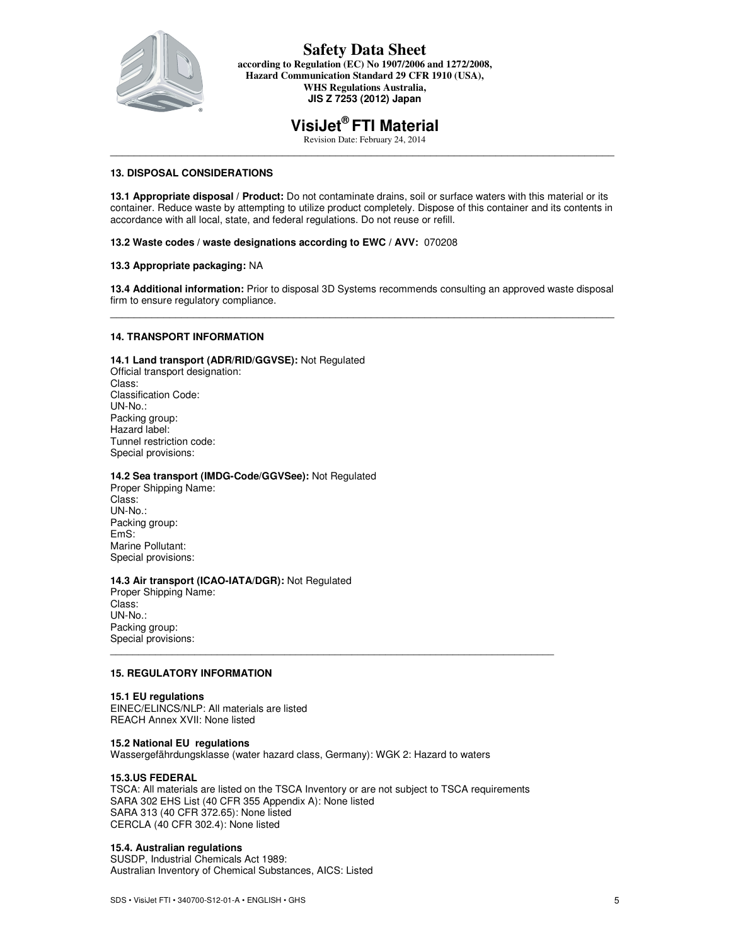

**according to Regulation (EC) No 1907/2006 and 1272/2008, Hazard Communication Standard 29 CFR 1910 (USA), WHS Regulations Australia, JIS Z 7253 (2012) Japan** 

# **VisiJet® FTI Material**

Revision Date: February 24, 2014 \_\_\_\_\_\_\_\_\_\_\_\_\_\_\_\_\_\_\_\_\_\_\_\_\_\_\_\_\_\_\_\_\_\_\_\_\_\_\_\_\_\_\_\_\_\_\_\_\_\_\_\_\_\_\_\_\_\_\_\_\_\_\_\_\_\_\_\_\_\_\_\_\_\_\_\_\_\_\_\_\_\_\_\_\_

## **13. DISPOSAL CONSIDERATIONS**

**13.1 Appropriate disposal / Product:** Do not contaminate drains, soil or surface waters with this material or its container. Reduce waste by attempting to utilize product completely. Dispose of this container and its contents in accordance with all local, state, and federal regulations. Do not reuse or refill.

#### **13.2 Waste codes / waste designations according to EWC / AVV:** 070208

### **13.3 Appropriate packaging:** NA

**13.4 Additional information:** Prior to disposal 3D Systems recommends consulting an approved waste disposal firm to ensure regulatory compliance. \_\_\_\_\_\_\_\_\_\_\_\_\_\_\_\_\_\_\_\_\_\_\_\_\_\_\_\_\_\_\_\_\_\_\_\_\_\_\_\_\_\_\_\_\_\_\_\_\_\_\_\_\_\_\_\_\_\_\_\_\_\_\_\_\_\_\_\_\_\_\_\_\_\_\_\_\_\_\_\_\_\_\_\_\_

### **14. TRANSPORT INFORMATION**

**14.1 Land transport (ADR/RID/GGVSE):** Not Regulated Official transport designation: Class: Classification Code: UN-No.: Packing group: Hazard label: Tunnel restriction code: Special provisions:

#### **14.2 Sea transport (IMDG-Code/GGVSee):** Not Regulated

Proper Shipping Name: Class: UN-No.: Packing group: EmS: Marine Pollutant: Special provisions:

#### **14.3 Air transport (ICAO-IATA/DGR):** Not Regulated

Proper Shipping Name: Class: UN-No.: Packing group: Special provisions: \_\_\_\_\_\_\_\_\_\_\_\_\_\_\_\_\_\_\_\_\_\_\_\_\_\_\_\_\_\_\_\_\_\_\_\_\_\_\_\_\_\_\_\_\_\_\_\_\_\_\_\_\_\_\_\_\_\_\_\_\_\_\_\_\_\_\_\_\_\_\_\_\_\_\_\_\_\_\_

# **15. REGULATORY INFORMATION**

#### **15.1 EU regulations**

EINEC/ELINCS/NLP: All materials are listed REACH Annex XVII: None listed

#### **15.2 National EU regulations**

Wassergefährdungsklasse (water hazard class, Germany): WGK 2: Hazard to waters

#### **15.3.US FEDERAL**

TSCA: All materials are listed on the TSCA Inventory or are not subject to TSCA requirements SARA 302 EHS List (40 CFR 355 Appendix A): None listed SARA 313 (40 CFR 372.65): None listed CERCLA (40 CFR 302.4): None listed

#### **15.4. Australian regulations**

SUSDP, Industrial Chemicals Act 1989: Australian Inventory of Chemical Substances, AICS: Listed